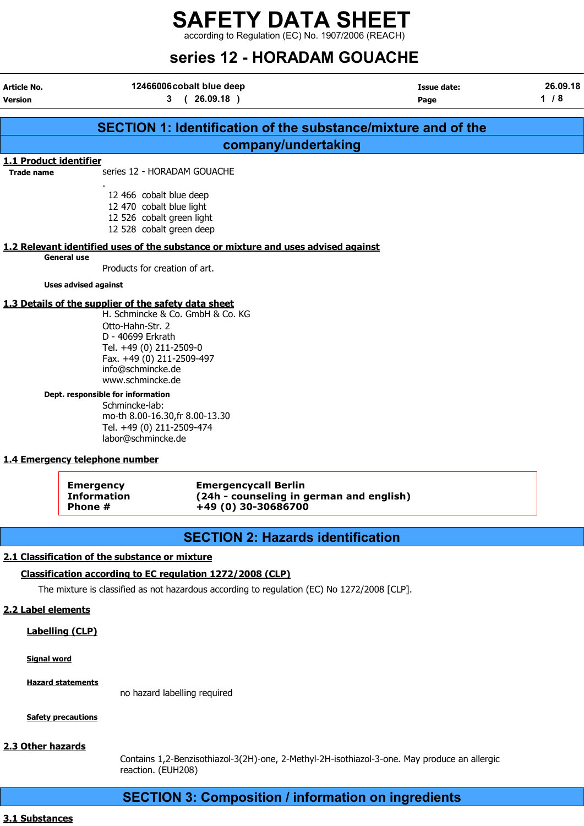according to Regulation (EC) No. 1907/2006 (REACH)

## series 12 - HORADAM GOUACHE

Article No. 12466006 cobalt blue deep Article No. 12466006 cobalt blue deep Article No. 15 and 12466006 cobalt blue deep

## Version 3 ( 26.09.18 ) Page 1 / 8 SECTION 1: Identification of the substance/mixture and of the company/undertaking 1.1 Product identifier Trade name series 12 - HORADAM GOUACHE . 12 466 cobalt blue deep 12 470 cobalt blue light 12 526 cobalt green light 12 528 cobalt green deep 1.2 Relevant identified uses of the substance or mixture and uses advised against General use Products for creation of art. Uses advised against 1.3 Details of the supplier of the safety data sheet H. Schmincke & Co. GmbH & Co. KG Otto-Hahn-Str. 2 D - 40699 Erkrath Tel. +49 (0) 211-2509-0 Fax. +49 (0) 211-2509-497 info@schmincke.de www.schmincke.de Dept. responsible for information Schmincke-lab: mo-th 8.00-16.30,fr 8.00-13.30 Tel. +49 (0) 211-2509-474 labor@schmincke.de 1.4 Emergency telephone number

| Emergency   | <b>Emergencycall Berlin</b>              |
|-------------|------------------------------------------|
| Information | (24h - counseling in german and english) |
| Phone #     | +49 (0) 30-30686700                      |

## SECTION 2: Hazards identification

#### 2.1 Classification of the substance or mixture

#### Classification according to EC regulation 1272/2008 (CLP)

The mixture is classified as not hazardous according to regulation (EC) No 1272/2008 [CLP].

#### 2.2 Label elements

Labelling (CLP)

Signal word

Hazard statements

no hazard labelling required

Safety precautions

#### 2.3 Other hazards

Contains 1,2-Benzisothiazol-3(2H)-one, 2-Methyl-2H-isothiazol-3-one. May produce an allergic reaction. (EUH208)

## SECTION 3: Composition / information on ingredients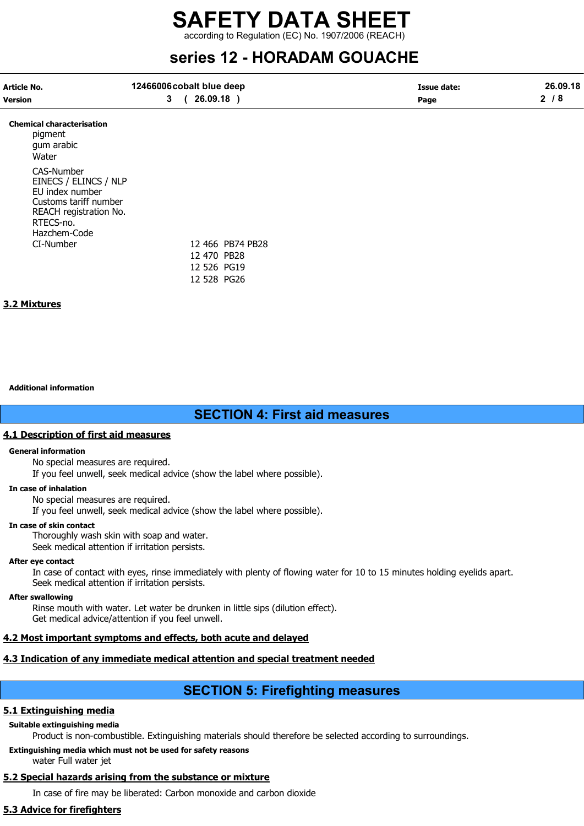according to Regulation (EC) No. 1907/2006 (REACH)

## series 12 - HORADAM GOUACHE

| Article No. | 12466006 cobalt blue deep | Issue date: | 26.09.18 |
|-------------|---------------------------|-------------|----------|
| Version     | 26.09.18                  | Page        |          |

#### Chemical characterisation

pigment gum arabic **Water** CAS-Number EINECS / ELINCS / NLP EU index number Customs tariff number REACH registration No. RTECS-no. Hazchem-Code CI-Number 12 466 PB74 PB28

12 470 PB28 12 526 PG19 12 528 PG26

#### 3.2 Mixtures

#### Additional information

## SECTION 4: First aid measures

#### 4.1 Description of first aid measures

#### General information

No special measures are required.

If you feel unwell, seek medical advice (show the label where possible).

#### In case of inhalation

No special measures are required.

If you feel unwell, seek medical advice (show the label where possible).

#### In case of skin contact

Thoroughly wash skin with soap and water.

Seek medical attention if irritation persists.

#### After eye contact

In case of contact with eyes, rinse immediately with plenty of flowing water for 10 to 15 minutes holding eyelids apart. Seek medical attention if irritation persists.

#### After swallowing

Rinse mouth with water. Let water be drunken in little sips (dilution effect). Get medical advice/attention if you feel unwell.

#### 4.2 Most important symptoms and effects, both acute and delayed

#### 4.3 Indication of any immediate medical attention and special treatment needed

## SECTION 5: Firefighting measures

#### 5.1 Extinguishing media

#### Suitable extinguishing media

Product is non-combustible. Extinguishing materials should therefore be selected according to surroundings.

#### Extinguishing media which must not be used for safety reasons

water Full water jet

#### 5.2 Special hazards arising from the substance or mixture

In case of fire may be liberated: Carbon monoxide and carbon dioxide

#### 5.3 Advice for firefighters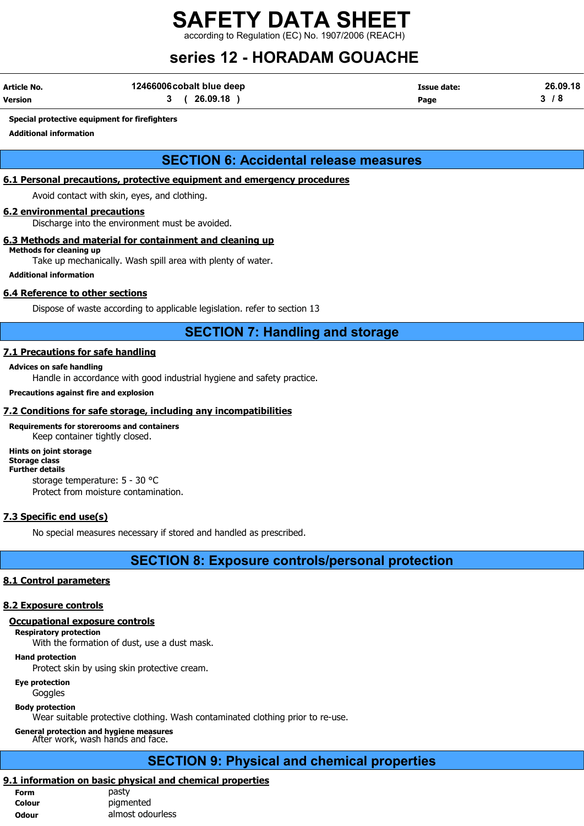according to Regulation (EC) No. 1907/2006 (REACH)

## series 12 - HORADAM GOUACHE

| <b>Article No.</b> | 12466006 cobalt blue deep | Issue date: | 26.09.18 |
|--------------------|---------------------------|-------------|----------|
| Version            | 26.09.18                  | Page        |          |

#### Special protective equipment for firefighters

Additional information

## SECTION 6: Accidental release measures

#### 6.1 Personal precautions, protective equipment and emergency procedures

Avoid contact with skin, eyes, and clothing.

#### 6.2 environmental precautions

Discharge into the environment must be avoided.

#### 6.3 Methods and material for containment and cleaning up

Methods for cleaning up Take up mechanically. Wash spill area with plenty of water.

Additional information

#### 6.4 Reference to other sections

Dispose of waste according to applicable legislation. refer to section 13

#### SECTION 7: Handling and storage

#### 7.1 Precautions for safe handling

#### Advices on safe handling

Handle in accordance with good industrial hygiene and safety practice.

#### Precautions against fire and explosion

#### 7.2 Conditions for safe storage, including any incompatibilities

## Requirements for storerooms and containers

Keep container tightly closed.

#### Hints on joint storage Storage class

#### Further details

storage temperature: 5 - 30 °C

Protect from moisture contamination.

#### 7.3 Specific end use(s)

No special measures necessary if stored and handled as prescribed.

#### SECTION 8: Exposure controls/personal protection

#### 8.1 Control parameters

#### 8.2 Exposure controls

#### Occupational exposure controls

Respiratory protection

With the formation of dust, use a dust mask.

#### Hand protection

Protect skin by using skin protective cream.

#### Eye protection

**Goggles** 

#### Body protection

Wear suitable protective clothing. Wash contaminated clothing prior to re-use.

#### General protection and hygiene measures

#### After work, wash hands and face.

## SECTION 9: Physical and chemical properties

#### 9.1 information on basic physical and chemical properties

| <b>Form</b>  | pasty            |
|--------------|------------------|
| Colour       | pigmented        |
| <b>Odour</b> | almost odourless |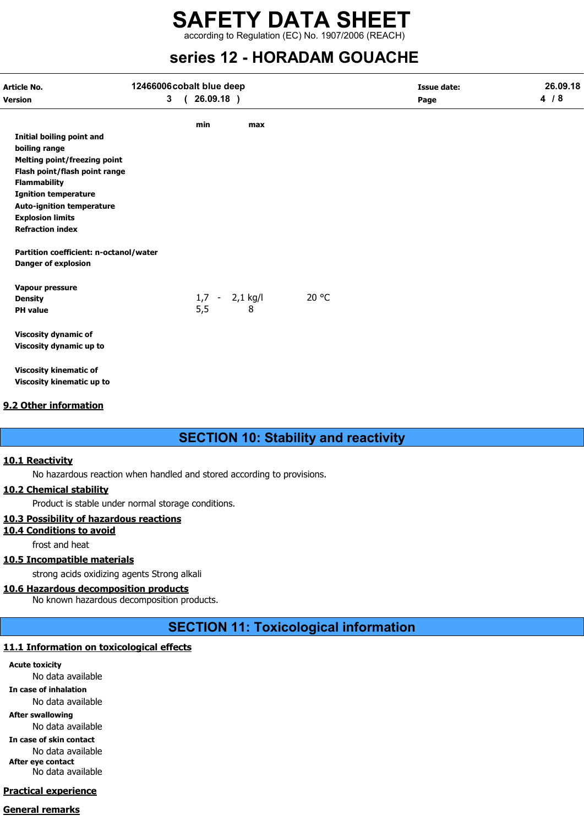## SAFETY DATA SHEET according to Regulation (EC) No. 1907/2006 (REACH)

# series 12 - HORADAM GOUACHE

| 3(26.09.18) |     |                  |      |     |
|-------------|-----|------------------|------|-----|
|             |     |                  | Page | 4/8 |
| min         | max |                  |      |     |
|             |     |                  |      |     |
|             |     |                  |      |     |
|             |     |                  |      |     |
|             |     |                  |      |     |
|             |     |                  |      |     |
|             |     |                  |      |     |
|             |     |                  |      |     |
|             |     |                  |      |     |
|             |     |                  |      |     |
|             |     |                  |      |     |
|             |     |                  |      |     |
|             |     |                  |      |     |
|             |     | 20 °C            |      |     |
|             | 8   |                  |      |     |
|             |     |                  |      |     |
|             |     |                  |      |     |
|             |     |                  |      |     |
|             |     |                  |      |     |
|             | 5,5 | $1,7 - 2,1$ kg/l |      |     |

## 9.2 Other information

## SECTION 10: Stability and reactivity

#### 10.1 Reactivity

No hazardous reaction when handled and stored according to provisions.

#### 10.2 Chemical stability

Product is stable under normal storage conditions.

#### 10.3 Possibility of hazardous reactions

10.4 Conditions to avoid

frost and heat

#### 10.5 Incompatible materials

strong acids oxidizing agents Strong alkali

#### 10.6 Hazardous decomposition products

No known hazardous decomposition products.

## SECTION 11: Toxicological information

## 11.1 Information on toxicological effects

Acute toxicity No data available In case of inhalation

No data available

After swallowing

No data available

In case of skin contact No data available After eye contact

No data available

## Practical experience

#### General remarks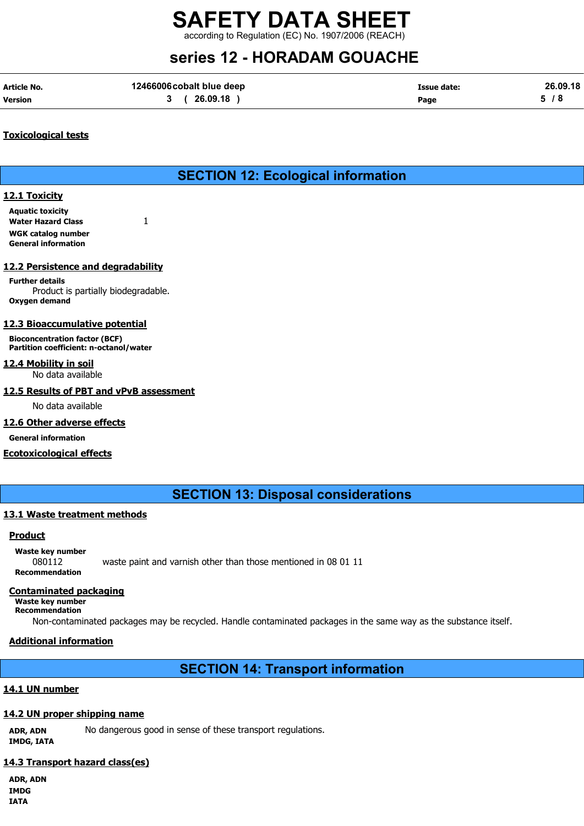according to Regulation (EC) No. 1907/2006 (REACH)

# series 12 - HORADAM GOUACHE

| Article No.    | 12466006 cobalt blue deep | Issue date: | 26.09.18 |
|----------------|---------------------------|-------------|----------|
| <b>Version</b> | 3(26.09.18)               | Page        | 5/8      |

#### Toxicological tests

## SECTION 12: Ecological information

#### 12.1 Toxicity

Aquatic toxicity Water Hazard Class 1 WGK catalog number General information

#### 12.2 Persistence and degradability

Further details Product is partially biodegradable. Oxygen demand

#### 12.3 Bioaccumulative potential

Bioconcentration factor (BCF) Partition coefficient: n-octanol/water

## 12.4 Mobility in soil

No data available

### 12.5 Results of PBT and vPvB assessment

No data available

#### 12.6 Other adverse effects

General information

#### Ecotoxicological effects

SECTION 13: Disposal considerations

#### 13.1 Waste treatment methods

#### **Product**

Waste key number 080112 waste paint and varnish other than those mentioned in 08 01 11 Recommendation

#### Contaminated packaging

Waste key number Recommendation

Non-contaminated packages may be recycled. Handle contaminated packages in the same way as the substance itself.

#### Additional information

SECTION 14: Transport information

#### 14.1 UN number

#### 14.2 UN proper shipping name

ADR, ADN No dangerous good in sense of these transport regulations. IMDG, IATA

#### 14.3 Transport hazard class(es)

ADR, ADN IMDG IATA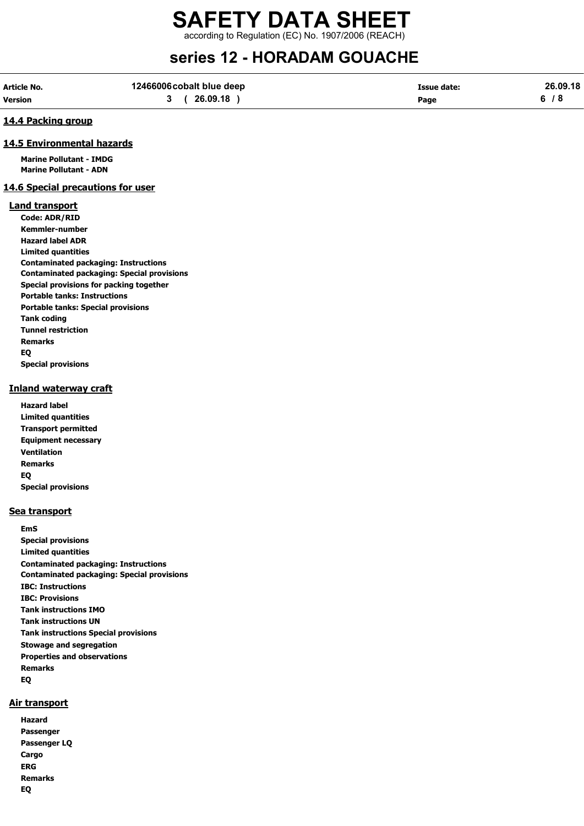according to Regulation (EC) No. 1907/2006 (REACH)

## series 12 - HORADAM GOUACHE

| Article No.    | 12466006 cobalt blue deep | <b>Issue date:</b> | 26.09.18 |
|----------------|---------------------------|--------------------|----------|
| <b>Version</b> | 26.09.18                  | Page               |          |

#### 14.4 Packing group

#### 14.5 Environmental hazards

Marine Pollutant - IMDG Marine Pollutant - ADN

#### 14.6 Special precautions for user

#### Land transport

Code: ADR/RID Kemmler-number Hazard label ADR Limited quantities Contaminated packaging: Instructions Contaminated packaging: Special provisions Special provisions for packing together Portable tanks: Instructions Portable tanks: Special provisions Tank coding Tunnel restriction Remarks EQ Special provisions

#### Inland waterway craft

Hazard label Limited quantities Transport permitted Equipment necessary Ventilation Remarks EQ Special provisions

#### Sea transport

EmS Special provisions Limited quantities Contaminated packaging: Instructions Contaminated packaging: Special provisions IBC: Instructions IBC: Provisions Tank instructions IMO Tank instructions UN Tank instructions Special provisions Stowage and segregation Properties and observations Remarks EQ

#### Air transport

Hazard Passenger Passenger LQ Cargo ERG Remarks EQ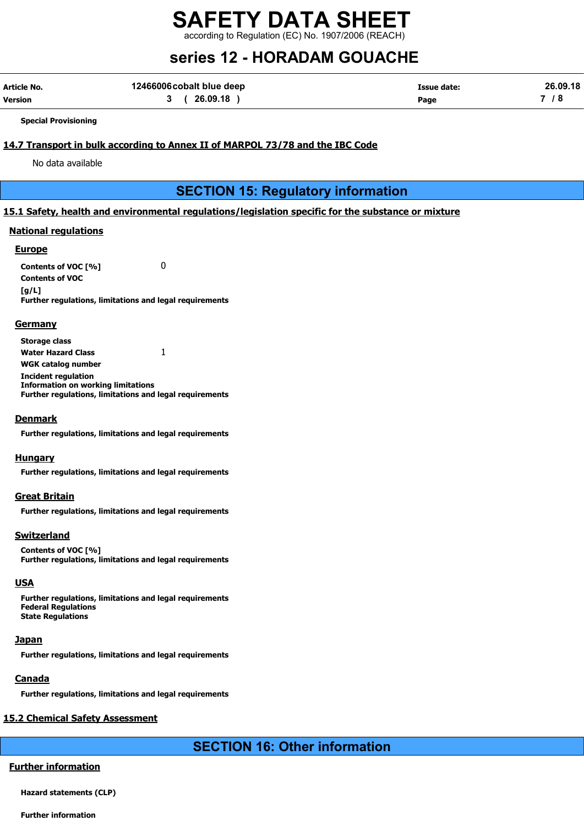according to Regulation (EC) No. 1907/2006 (REACH)

# series 12 - HORADAM GOUACHE

| Article No.    | 12466006 cobalt blue deep | <b>Issue date:</b> | 26.09.18 |
|----------------|---------------------------|--------------------|----------|
| <b>Version</b> | 3 (26.09.18               | Page               |          |

Special Provisioning

#### 14.7 Transport in bulk according to Annex II of MARPOL 73/78 and the IBC Code

No data available

## SECTION 15: Regulatory information

#### 15.1 Safety, health and environmental regulations/legislation specific for the substance or mixture

#### National regulations

#### **Europe**

Contents of VOC [%] 0 Contents of VOC  $[a/L]$ Further regulations, limitations and legal requirements

#### **Germany**

Storage class Water Hazard Class 1 WGK catalog number Incident regulation Information on working limitations Further regulations, limitations and legal requirements

#### Denmark

Further regulations, limitations and legal requirements

#### **Hungary**

Further regulations, limitations and legal requirements

#### Great Britain

Further regulations, limitations and legal requirements

#### Switzerland

Contents of VOC [%] Further regulations, limitations and legal requirements

#### **USA**

Further regulations, limitations and legal requirements Federal Regulations State Regulations

#### **Japan**

Further regulations, limitations and legal requirements

#### **Canada**

Further regulations, limitations and legal requirements

## 15.2 Chemical Safety Assessment

## SECTION 16: Other information

## Further information

Hazard statements (CLP)

Further information